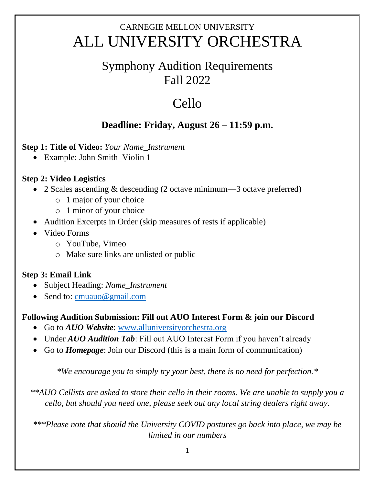## CARNEGIE MELLON UNIVERSITY ALL UNIVERSITY ORCHESTRA

## Symphony Audition Requirements Fall 2022

# Cello

### **Deadline: Friday, August 26 – 11:59 p.m.**

#### **Step 1: Title of Video:** *Your Name\_Instrument*

• Example: John Smith\_Violin 1

#### **Step 2: Video Logistics**

- 2 Scales ascending & descending (2 octave minimum—3 octave preferred)
	- o 1 major of your choice
	- o 1 minor of your choice
- Audition Excerpts in Order (skip measures of rests if applicable)
- Video Forms
	- o YouTube, Vimeo
	- o Make sure links are unlisted or public

#### **Step 3: Email Link**

- Subject Heading: *Name\_Instrument*
- Send to: [cmuauo@gmail.com](mailto:cmuauo@gmail.com)

#### **Following Audition Submission: Fill out AUO Interest Form & join our Discord**

- Go to *AUO Website*: [www.alluniversityorchestra.org](http://www.alluniversityorchestra.org/)
- Under *AUO Audition Tab*: Fill out AUO Interest Form if you haven't already
- Go to *Homepage*: Join our Discord (this is a main form of communication)

*\*We encourage you to simply try your best, there is no need for perfection.\**

*\*\*AUO Cellists are asked to store their cello in their rooms. We are unable to supply you a cello, but should you need one, please seek out any local string dealers right away.*

*\*\*\*Please note that should the University COVID postures go back into place, we may be limited in our numbers*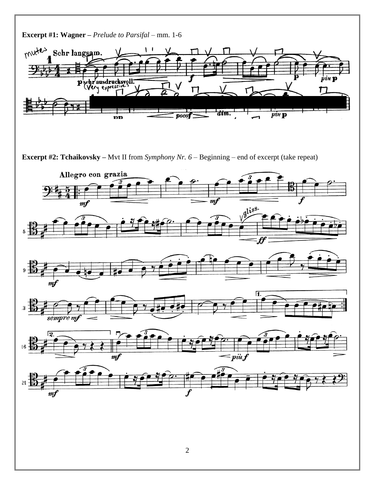**Excerpt #1: Wagner –** *Prelude to Parsifal –* mm. 1-6



**Excerpt #2: Tchaikovsky –** Mvt II from *Symphony Nr. 6 –* Beginning – end of excerpt (take repeat)